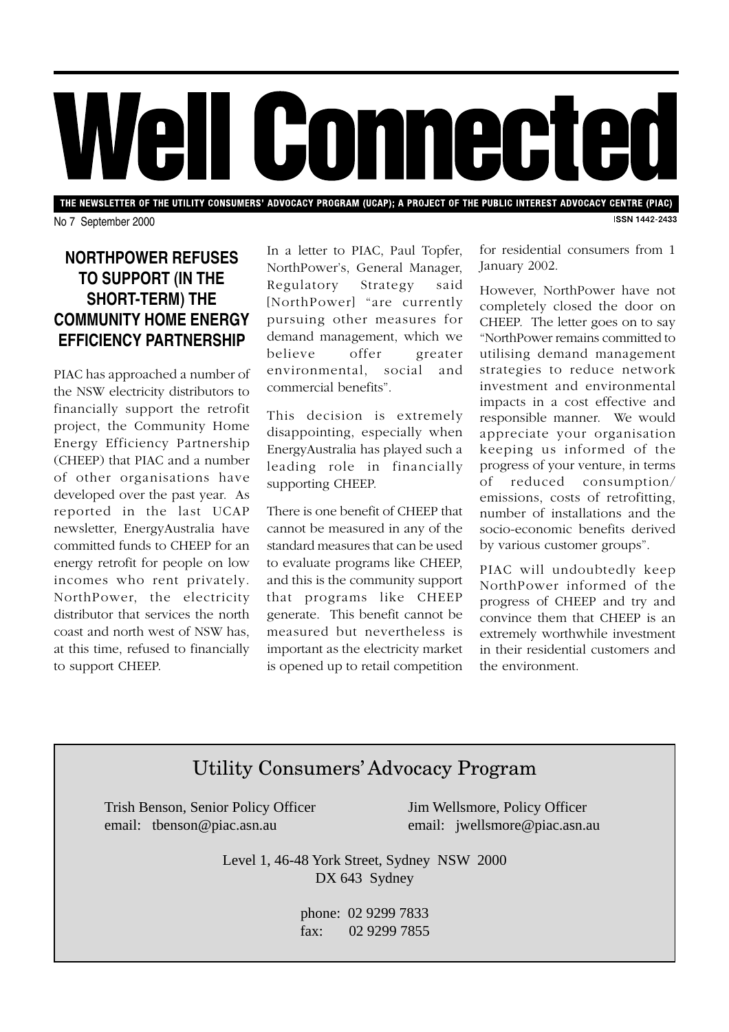

THE NEWSLETTER OF THE UTILITY CONSUMERS' ADVOCACY PROGRAM (UCAP); A PROJECT OF THE PUBLIC INTEREST ADVOCACY CENTRE (PIAC) **ISSN 1442-2433** 

No 7 September 2000

## **NORTHPOWER REFUSES TO SUPPORT (IN THE SHORT-TERM) THE COMMUNITY HOME ENERGY EFFICIENCY PARTNERSHIP**

PIAC has approached a number of the NSW electricity distributors to financially support the retrofit project, the Community Home Energy Efficiency Partnership (CHEEP) that PIAC and a number of other organisations have developed over the past year. As reported in the last UCAP newsletter, EnergyAustralia have committed funds to CHEEP for an energy retrofit for people on low incomes who rent privately. NorthPower, the electricity distributor that services the north coast and north west of NSW has, at this time, refused to financially to support CHEEP.

In a letter to PIAC, Paul Topfer, NorthPower's, General Manager, Regulatory Strategy said [NorthPower] "are currently pursuing other measures for demand management, which we believe offer greater environmental, social and commercial benefits".

This decision is extremely disappointing, especially when EnergyAustralia has played such a leading role in financially supporting CHEEP.

There is one benefit of CHEEP that cannot be measured in any of the standard measures that can be used to evaluate programs like CHEEP, and this is the community support that programs like CHEEP generate. This benefit cannot be measured but nevertheless is important as the electricity market is opened up to retail competition for residential consumers from 1 January 2002.

However, NorthPower have not completely closed the door on CHEEP. The letter goes on to say "NorthPower remains committed to utilising demand management strategies to reduce network investment and environmental impacts in a cost effective and responsible manner. We would appreciate your organisation keeping us informed of the progress of your venture, in terms of reduced consumption/ emissions, costs of retrofitting, number of installations and the socio-economic benefits derived by various customer groups".

PIAC will undoubtedly keep NorthPower informed of the progress of CHEEP and try and convince them that CHEEP is an extremely worthwhile investment in their residential customers and the environment.

# Utility Consumers' Advocacy Program

Trish Benson, Senior Policy Officer Jim Wellsmore, Policy Officer email: tbenson@piac.asn.au email: jwellsmore@piac.asn.au

Level 1, 46-48 York Street, Sydney NSW 2000 DX 643 Sydney

> phone: 02 9299 7833 fax: 02 9299 7855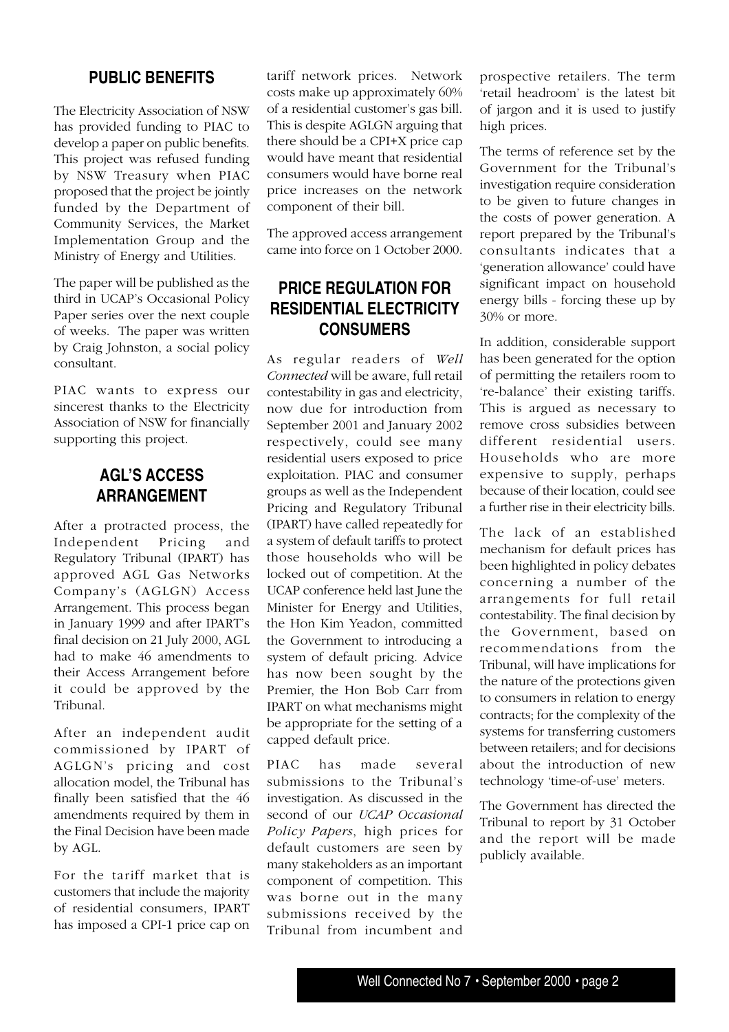#### **PUBLIC BENEFITS**

The Electricity Association of NSW has provided funding to PIAC to develop a paper on public benefits. This project was refused funding by NSW Treasury when PIAC proposed that the project be jointly funded by the Department of Community Services, the Market Implementation Group and the Ministry of Energy and Utilities.

The paper will be published as the third in UCAP's Occasional Policy Paper series over the next couple of weeks. The paper was written by Craig Johnston, a social policy consultant.

PIAC wants to express our sincerest thanks to the Electricity Association of NSW for financially supporting this project.

#### **AGL'S ACCESS ARRANGEMENT**

After a protracted process, the Independent Pricing and Regulatory Tribunal (IPART) has approved AGL Gas Networks Company's (AGLGN) Access Arrangement. This process began in January 1999 and after IPART's final decision on 21 July 2000, AGL had to make 46 amendments to their Access Arrangement before it could be approved by the Tribunal.

After an independent audit commissioned by IPART of AGLGN's pricing and cost allocation model, the Tribunal has finally been satisfied that the 46 amendments required by them in the Final Decision have been made by AGL.

For the tariff market that is customers that include the majority of residential consumers, IPART has imposed a CPI-1 price cap on tariff network prices. Network costs make up approximately 60% of a residential customer's gas bill. This is despite AGLGN arguing that there should be a CPI+X price cap would have meant that residential consumers would have borne real price increases on the network component of their bill.

The approved access arrangement came into force on 1 October 2000.

### **PRICE REGULATION FOR RESIDENTIAL ELECTRICITY CONSUMERS**

As regular readers of *Well Connected* will be aware, full retail contestability in gas and electricity, now due for introduction from September 2001 and January 2002 respectively, could see many residential users exposed to price exploitation. PIAC and consumer groups as well as the Independent Pricing and Regulatory Tribunal (IPART) have called repeatedly for a system of default tariffs to protect those households who will be locked out of competition. At the UCAP conference held last June the Minister for Energy and Utilities, the Hon Kim Yeadon, committed the Government to introducing a system of default pricing. Advice has now been sought by the Premier, the Hon Bob Carr from IPART on what mechanisms might be appropriate for the setting of a capped default price.

PIAC has made several submissions to the Tribunal's investigation. As discussed in the second of our *UCAP Occasional Policy Papers*, high prices for default customers are seen by many stakeholders as an important component of competition. This was borne out in the many submissions received by the Tribunal from incumbent and

prospective retailers. The term 'retail headroom' is the latest bit of jargon and it is used to justify high prices.

The terms of reference set by the Government for the Tribunal's investigation require consideration to be given to future changes in the costs of power generation. A report prepared by the Tribunal's consultants indicates that a 'generation allowance' could have significant impact on household energy bills - forcing these up by 30% or more.

In addition, considerable support has been generated for the option of permitting the retailers room to 're-balance' their existing tariffs. This is argued as necessary to remove cross subsidies between different residential users. Households who are more expensive to supply, perhaps because of their location, could see a further rise in their electricity bills.

The lack of an established mechanism for default prices has been highlighted in policy debates concerning a number of the arrangements for full retail contestability. The final decision by the Government, based on recommendations from the Tribunal, will have implications for the nature of the protections given to consumers in relation to energy contracts; for the complexity of the systems for transferring customers between retailers; and for decisions about the introduction of new technology 'time-of-use' meters.

The Government has directed the Tribunal to report by 31 October and the report will be made publicly available.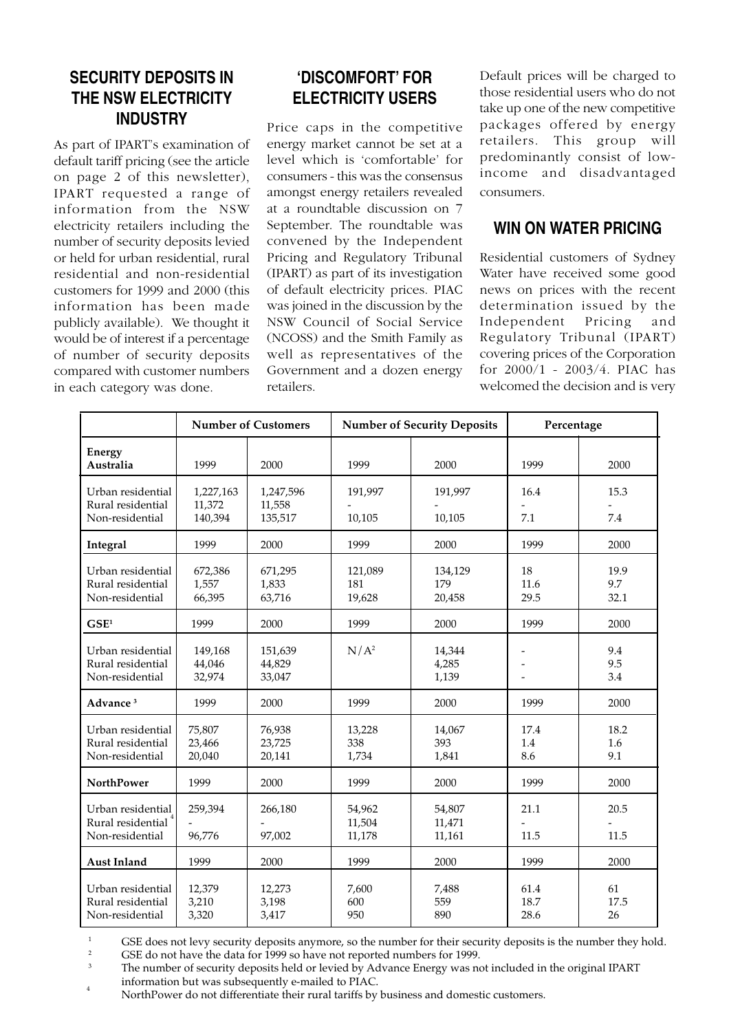## **SECURITY DEPOSITS IN THE NSW ELECTRICITY INDUSTRY**

As part of IPART's examination of default tariff pricing (see the article on page 2 of this newsletter), IPART requested a range of information from the NSW electricity retailers including the number of security deposits levied or held for urban residential, rural residential and non-residential customers for 1999 and 2000 (this information has been made publicly available). We thought it would be of interest if a percentage of number of security deposits compared with customer numbers in each category was done.

## **'DISCOMFORT' FOR ELECTRICITY USERS**

Price caps in the competitive energy market cannot be set at a level which is 'comfortable' for consumers - this was the consensus amongst energy retailers revealed at a roundtable discussion on 7 September. The roundtable was convened by the Independent Pricing and Regulatory Tribunal (IPART) as part of its investigation of default electricity prices. PIAC was joined in the discussion by the NSW Council of Social Service (NCOSS) and the Smith Family as well as representatives of the Government and a dozen energy retailers.

Default prices will be charged to those residential users who do not take up one of the new competitive packages offered by energy retailers. This group will predominantly consist of lowincome and disadvantaged consumers.

#### **WIN ON WATER PRICING**

Residential customers of Sydney Water have received some good news on prices with the recent determination issued by the Independent Pricing and Regulatory Tribunal (IPART) covering prices of the Corporation for 2000/1 - 2003/4. PIAC has welcomed the decision and is very

|                                                           | <b>Number of Customers</b>     |                                | <b>Number of Security Deposits</b> |                            | Percentage           |                     |
|-----------------------------------------------------------|--------------------------------|--------------------------------|------------------------------------|----------------------------|----------------------|---------------------|
| Energy<br>Australia                                       | 1999                           | 2000                           | 1999                               | 2000                       | 1999                 | 2000                |
| Urban residential<br>Rural residential<br>Non-residential | 1,227,163<br>11,372<br>140,394 | 1,247,596<br>11,558<br>135,517 | 191,997<br>10,105                  | 191,997<br>10,105          | 16.4<br>7.1          | 15.3<br>7.4         |
| Integral                                                  | 1999                           | 2000                           | 1999                               | 2000                       | 1999                 | 2000                |
| Urban residential<br>Rural residential<br>Non-residential | 672,386<br>1,557<br>66,395     | 671,295<br>1,833<br>63,716     | 121,089<br>181<br>19,628           | 134,129<br>179<br>20,458   | 18<br>11.6<br>29.5   | 19.9<br>9.7<br>32.1 |
| GSE <sup>1</sup>                                          | 1999                           | 2000                           | 1999                               | 2000                       | 1999                 | 2000                |
| Urban residential<br>Rural residential<br>Non-residential | 149,168<br>44,046<br>32,974    | 151,639<br>44,829<br>33,047    | $N/A^2$                            | 14,344<br>4,285<br>1,139   |                      | 9.4<br>9.5<br>3.4   |
| Advance <sup>3</sup>                                      | 1999                           | 2000                           | 1999                               | 2000                       | 1999                 | 2000                |
| Urban residential<br>Rural residential<br>Non-residential | 75,807<br>23,466<br>20,040     | 76,938<br>23,725<br>20,141     | 13,228<br>338<br>1,734             | 14,067<br>393<br>1,841     | 17.4<br>1.4<br>8.6   | 18.2<br>1.6<br>9.1  |
| <b>NorthPower</b>                                         | 1999                           | 2000                           | 1999                               | 2000                       | 1999                 | 2000                |
| Urban residential<br>Rural residential<br>Non-residential | 259,394<br>96,776              | 266,180<br>97,002              | 54,962<br>11,504<br>11,178         | 54,807<br>11,471<br>11,161 | 21.1<br>11.5         | 20.5<br>11.5        |
| <b>Aust Inland</b>                                        | 1999                           | 2000                           | 1999                               | 2000                       | 1999                 | 2000                |
| Urban residential<br>Rural residential<br>Non-residential | 12,379<br>3,210<br>3,320       | 12,273<br>3,198<br>3,417       | 7.600<br>600<br>950                | 7,488<br>559<br>890        | 61.4<br>18.7<br>28.6 | 61<br>17.5<br>26    |

<sup>1</sup> GSE does not levy security deposits anymore, so the number for their security deposits is the number they hold.<br><sup>2</sup> GSE do not have the data for 1000 so have not reported numbers for 1000.

<sup>2</sup> GSE do not have the data for  $\frac{1999}{9}$  so have not reported numbers for 1999.

The number of security deposits held or levied by Advance Energy was not included in the original IPART information but was subsequently e-mailed to PIAC. <sup>4</sup>

NorthPower do not differentiate their rural tariffs by business and domestic customers.